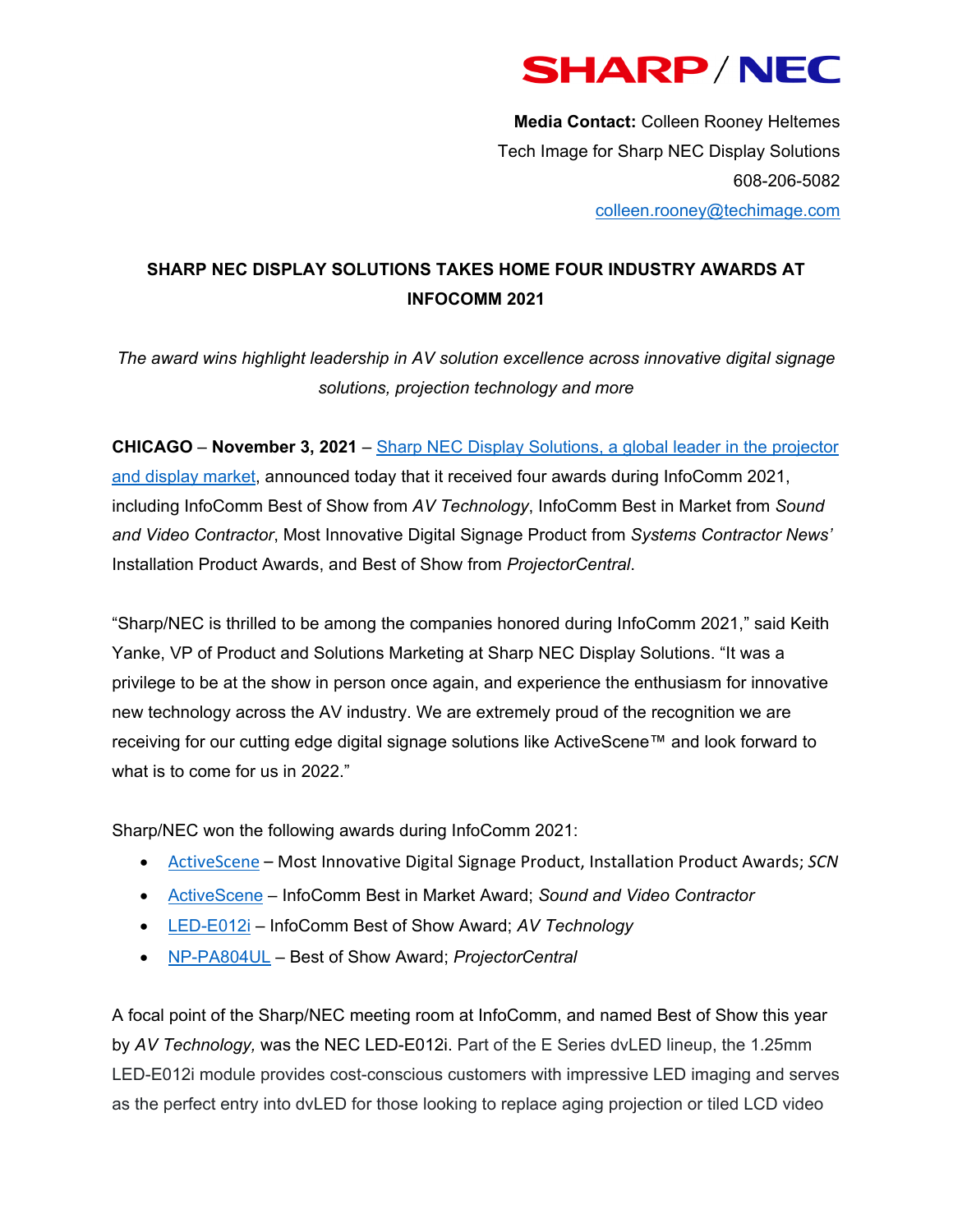

**Media Contact:** Colleen Rooney Heltemes Tech Image for Sharp NEC Display Solutions 608-206-5082 colleen.rooney@techimage.com

### **SHARP NEC DISPLAY SOLUTIONS TAKES HOME FOUR INDUSTRY AWARDS AT INFOCOMM 2021**

*The award wins highlight leadership in AV solution excellence across innovative digital signage solutions, projection technology and more* 

**CHICAGO** – **November 3, 2021** [– Sharp NEC Display Solutions, a global leader in the projector](https://www.sharpnecdisplays.us)  [and display market,](https://www.sharpnecdisplays.us) announced today that it received four awards during InfoComm 2021, including InfoComm Best of Show from *AV Technology*, InfoComm Best in Market from *Sound and Video Contractor*, Most Innovative Digital Signage Product from *Systems Contractor News'* Installation Product Awards, and Best of Show from *ProjectorCentral*.

"Sharp/NEC is thrilled to be among the companies honored during InfoComm 2021," said Keith Yanke, VP of Product and Solutions Marketing at Sharp NEC Display Solutions. "It was a privilege to be at the show in person once again, and experience the enthusiasm for innovative new technology across the AV industry. We are extremely proud of the recognition we are receiving for our cutting edge digital signage solutions like ActiveScene™ and look forward to what is to come for us in 2022."

Sharp/NEC won the following awards during InfoComm 2021:

- [ActiveScene](https://www.sharpnecdisplays.us/activescene) Most Innovative Digital Signage Product, Installation Product Awards; *SCN*
- [ActiveScene –](https://www.sharpnecdisplays.us/activescene) InfoComm Best in Market Award; *Sound and Video Contractor*
- [LED-E012i](https://www.sharpnecdisplays.us/products/displays/led-e012i-108in)  InfoComm Best of Show Award; *AV Technology*
- [NP-PA804UL](https://www.sharpnecdisplays.us/products/projectors/np-pa804ul-b) Best of Show Award; *ProjectorCentral*

A focal point of the Sharp/NEC meeting room at InfoComm, and named Best of Show this year by *AV Technology,* was the NEC LED-E012i. Part of the E Series dvLED lineup, the 1.25mm LED-E012i module provides cost-conscious customers with impressive LED imaging and serves as the perfect entry into dvLED for those looking to replace aging projection or tiled LCD video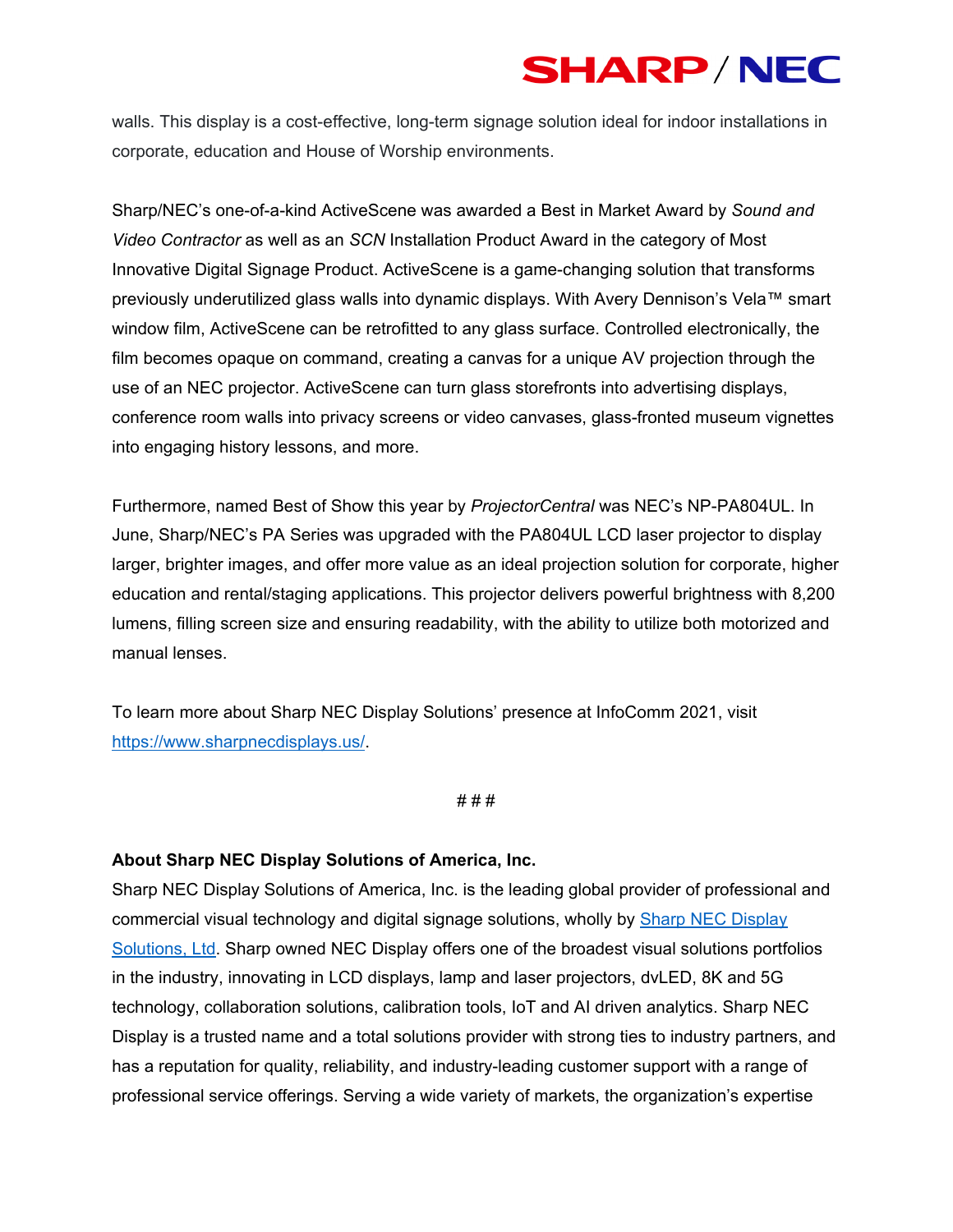# **SHARP/NEC**

walls. This display is a cost-effective, long-term signage solution ideal for indoor installations in corporate, education and House of Worship environments.

Sharp/NEC's one-of-a-kind ActiveScene was awarded a Best in Market Award by *Sound and Video Contractor* as well as an *SCN* Installation Product Award in the category of Most Innovative Digital Signage Product. ActiveScene is a game-changing solution that transforms previously underutilized glass walls into dynamic displays. With Avery Dennison's Vela™ smart window film, ActiveScene can be retrofitted to any glass surface. Controlled electronically, the film becomes opaque on command, creating a canvas for a unique AV projection through the use of an NEC projector. ActiveScene can turn glass storefronts into advertising displays, conference room walls into privacy screens or video canvases, glass-fronted museum vignettes into engaging history lessons, and more.

Furthermore, named Best of Show this year by *ProjectorCentral* was NEC's NP-PA804UL. In June, Sharp/NEC's PA Series was upgraded with the PA804UL LCD laser projector to display larger, brighter images, and offer more value as an ideal projection solution for corporate, higher education and rental/staging applications. This projector delivers powerful brightness with 8,200 lumens, filling screen size and ensuring readability, with the ability to utilize both motorized and manual lenses.

To learn more about Sharp NEC Display Solutions' presence at InfoComm 2021, visit https://www.sharpnecdisplays.us/.

#### # # #

### **About Sharp NEC Display Solutions of America, Inc.**

Sharp NEC Display Solutions of America, Inc. is the leading global provider of professional and commercial visual technology and digital signage solutions, wholly by **Sharp NEC Display** [Solutions, Ltd](https://www.nec-display.com/global/index.html). Sharp owned NEC Display offers one of the broadest visual solutions portfolios in the industry, innovating in LCD displays, lamp and laser projectors, dvLED, 8K and 5G technology, collaboration solutions, calibration tools, IoT and AI driven analytics. Sharp NEC Display is a trusted name and a total solutions provider with strong ties to industry partners, and has a reputation for quality, reliability, and industry-leading customer support with a range of professional service offerings. Serving a wide variety of markets, the organization's expertise